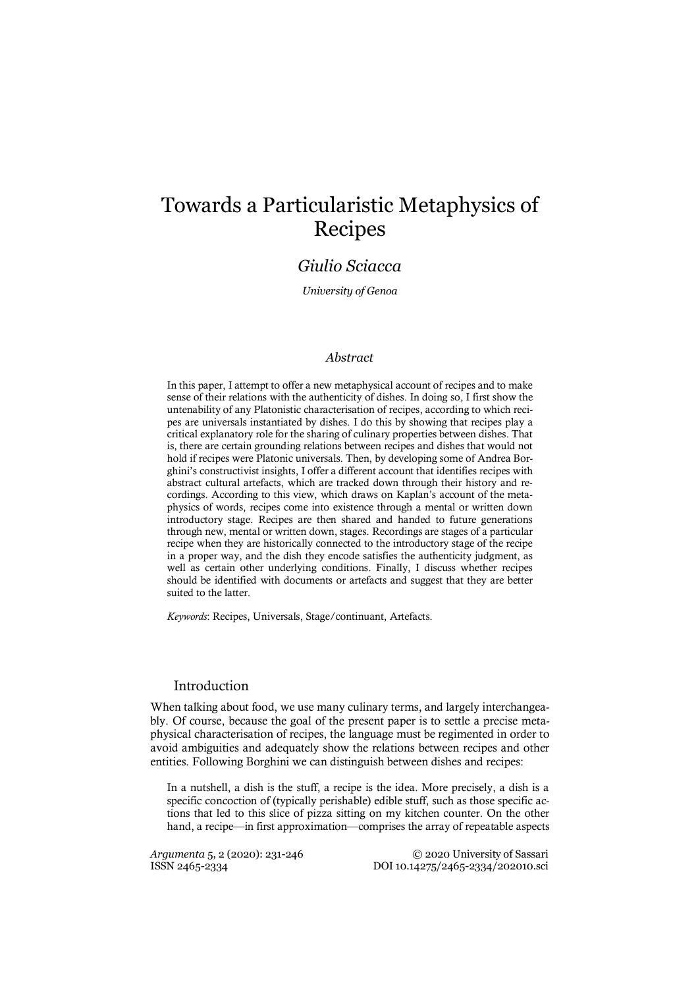# Towards a Particularistic Metaphysics of Recipes

# *Giulio Sciacca*

*University of Genoa*

# *Abstract*

In this paper, I attempt to offer a new metaphysical account of recipes and to make sense of their relations with the authenticity of dishes. In doing so, I first show the untenability of any Platonistic characterisation of recipes, according to which recipes are universals instantiated by dishes. I do this by showing that recipes play a critical explanatory role for the sharing of culinary properties between dishes. That is, there are certain grounding relations between recipes and dishes that would not hold if recipes were Platonic universals. Then, by developing some of Andrea Borghini's constructivist insights, I offer a different account that identifies recipes with abstract cultural artefacts, which are tracked down through their history and recordings. According to this view, which draws on Kaplan's account of the metaphysics of words, recipes come into existence through a mental or written down introductory stage. Recipes are then shared and handed to future generations through new, mental or written down, stages. Recordings are stages of a particular recipe when they are historically connected to the introductory stage of the recipe in a proper way, and the dish they encode satisfies the authenticity judgment, as well as certain other underlying conditions. Finally, I discuss whether recipes should be identified with documents or artefacts and suggest that they are better suited to the latter.

*Keywords*: Recipes, Universals, Stage/continuant, Artefacts.

# Introduction

When talking about food, we use many culinary terms, and largely interchangeably. Of course, because the goal of the present paper is to settle a precise metaphysical characterisation of recipes, the language must be regimented in order to avoid ambiguities and adequately show the relations between recipes and other entities. Following Borghini we can distinguish between dishes and recipes:

In a nutshell, a dish is the stuff, a recipe is the idea. More precisely, a dish is a specific concoction of (typically perishable) edible stuff, such as those specific actions that led to this slice of pizza sitting on my kitchen counter. On the other hand, a recipe—in first approximation—comprises the array of repeatable aspects

*Argumenta* 5, 2 (2020): 231-246 <sup>©</sup> 2020 University of Sassari<br>ISSN 2465-2334 202010.sci ISSN 2465-2334 DOI 10.14275/2465-2334/202010.sci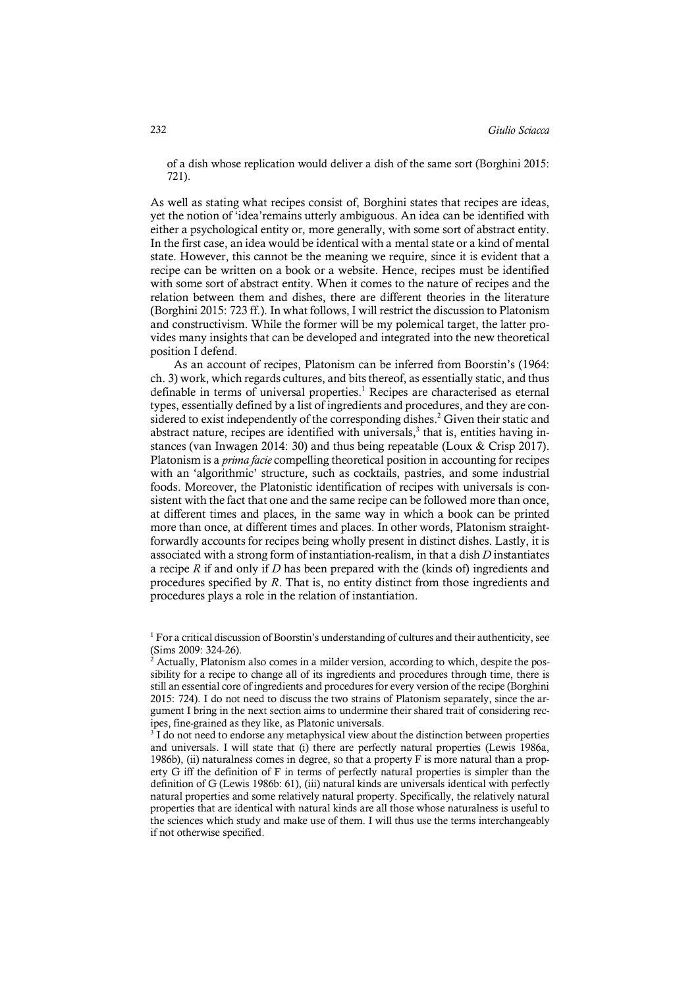of a dish whose replication would deliver a dish of the same sort (Borghini 2015: 721).

As well as stating what recipes consist of, Borghini states that recipes are ideas, yet the notion of 'idea'remains utterly ambiguous. An idea can be identified with either a psychological entity or, more generally, with some sort of abstract entity. In the first case, an idea would be identical with a mental state or a kind of mental state. However, this cannot be the meaning we require, since it is evident that a recipe can be written on a book or a website. Hence, recipes must be identified with some sort of abstract entity. When it comes to the nature of recipes and the relation between them and dishes, there are different theories in the literature (Borghini 2015: 723 ff.). In what follows, I will restrict the discussion to Platonism and constructivism. While the former will be my polemical target, the latter provides many insights that can be developed and integrated into the new theoretical position I defend.

As an account of recipes, Platonism can be inferred from Boorstin's (1964: ch. 3) work, which regards cultures, and bits thereof, as essentially static, and thus definable in terms of universal properties. <sup>1</sup> Recipes are characterised as eternal types, essentially defined by a list of ingredients and procedures, and they are considered to exist independently of the corresponding dishes. <sup>2</sup> Given their static and abstract nature, recipes are identified with universals, <sup>3</sup> that is, entities having instances (van Inwagen 2014: 30) and thus being repeatable (Loux & Crisp 2017). Platonism is a *prima facie* compelling theoretical position in accounting for recipes with an 'algorithmic' structure, such as cocktails, pastries, and some industrial foods. Moreover, the Platonistic identification of recipes with universals is consistent with the fact that one and the same recipe can be followed more than once, at different times and places, in the same way in which a book can be printed more than once, at different times and places. In other words, Platonism straightforwardly accounts for recipes being wholly present in distinct dishes. Lastly, it is associated with a strong form of instantiation-realism, in that a dish *D* instantiates a recipe *R* if and only if *D* has been prepared with the (kinds of) ingredients and procedures specified by *R*. That is, no entity distinct from those ingredients and procedures plays a role in the relation of instantiation.

 $<sup>1</sup>$  For a critical discussion of Boorstin's understanding of cultures and their authenticity, see</sup> (Sims 2009: 324-26).

<sup>2</sup> Actually, Platonism also comes in a milder version, according to which, despite the possibility for a recipe to change all of its ingredients and procedures through time, there is still an essential core of ingredients and procedures for every version of the recipe (Borghini 2015: 724). I do not need to discuss the two strains of Platonism separately, since the argument I bring in the next section aims to undermine their shared trait of considering recipes, fine-grained as they like, as Platonic universals.<br><sup>3</sup> I do not need to endorse any metaphysical view about the distinction between properties

and universals. I will state that (i) there are perfectly natural properties (Lewis 1986a, 1986b), (ii) naturalness comes in degree, so that a property F is more natural than a property G iff the definition of F in terms of perfectly natural properties is simpler than the definition of G (Lewis 1986b: 61), (iii) natural kinds are universals identical with perfectly natural properties and some relatively natural property. Specifically, the relatively natural properties that are identical with natural kinds are all those whose naturalness is useful to the sciences which study and make use of them. I will thus use the terms interchangeably if not otherwise specified.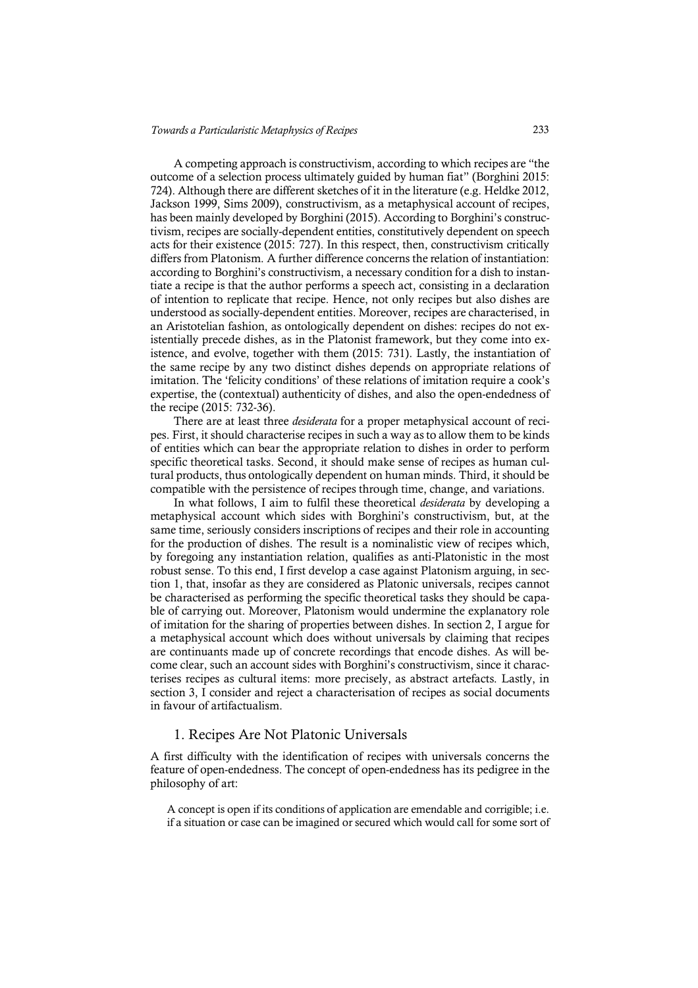A competing approach is constructivism, according to which recipes are "the outcome of a selection process ultimately guided by human fiat" (Borghini 2015: 724). Although there are different sketches of it in the literature (e.g. Heldke 2012, Jackson 1999, Sims 2009), constructivism, as a metaphysical account of recipes, has been mainly developed by Borghini (2015). According to Borghini's constructivism, recipes are socially-dependent entities, constitutively dependent on speech acts for their existence (2015: 727). In this respect, then, constructivism critically differs from Platonism. A further difference concerns the relation of instantiation: according to Borghini's constructivism, a necessary condition for a dish to instantiate a recipe is that the author performs a speech act, consisting in a declaration of intention to replicate that recipe. Hence, not only recipes but also dishes are understood as socially-dependent entities. Moreover, recipes are characterised, in an Aristotelian fashion, as ontologically dependent on dishes: recipes do not existentially precede dishes, as in the Platonist framework, but they come into existence, and evolve, together with them (2015: 731). Lastly, the instantiation of the same recipe by any two distinct dishes depends on appropriate relations of imitation. The 'felicity conditions' of these relations of imitation require a cook's expertise, the (contextual) authenticity of dishes, and also the open-endedness of the recipe (2015: 732-36).

There are at least three *desiderata* for a proper metaphysical account of recipes. First, it should characterise recipes in such a way asto allow them to be kinds of entities which can bear the appropriate relation to dishes in order to perform specific theoretical tasks. Second, it should make sense of recipes as human cultural products, thus ontologically dependent on human minds. Third, it should be compatible with the persistence of recipes through time, change, and variations.

In what follows, I aim to fulfil these theoretical *desiderata* by developing a metaphysical account which sides with Borghini's constructivism, but, at the same time, seriously considers inscriptions of recipes and their role in accounting for the production of dishes. The result is a nominalistic view of recipes which, by foregoing any instantiation relation, qualifies as anti-Platonistic in the most robust sense. To this end, I first develop a case against Platonism arguing, in section 1, that, insofar as they are considered as Platonic universals, recipes cannot be characterised as performing the specific theoretical tasks they should be capable of carrying out. Moreover, Platonism would undermine the explanatory role of imitation for the sharing of properties between dishes. In section 2, I argue for a metaphysical account which does without universals by claiming that recipes are continuants made up of concrete recordings that encode dishes. As will become clear, such an account sides with Borghini's constructivism, since it characterises recipes as cultural items: more precisely, as abstract artefacts. Lastly, in section 3, I consider and reject a characterisation of recipes as social documents in favour of artifactualism.

#### 1. Recipes Are Not Platonic Universals

A first difficulty with the identification of recipes with universals concerns the feature of open-endedness. The concept of open-endedness has its pedigree in the philosophy of art:

A concept is open if its conditions of application are emendable and corrigible; i.e. if a situation or case can be imagined or secured which would call for some sort of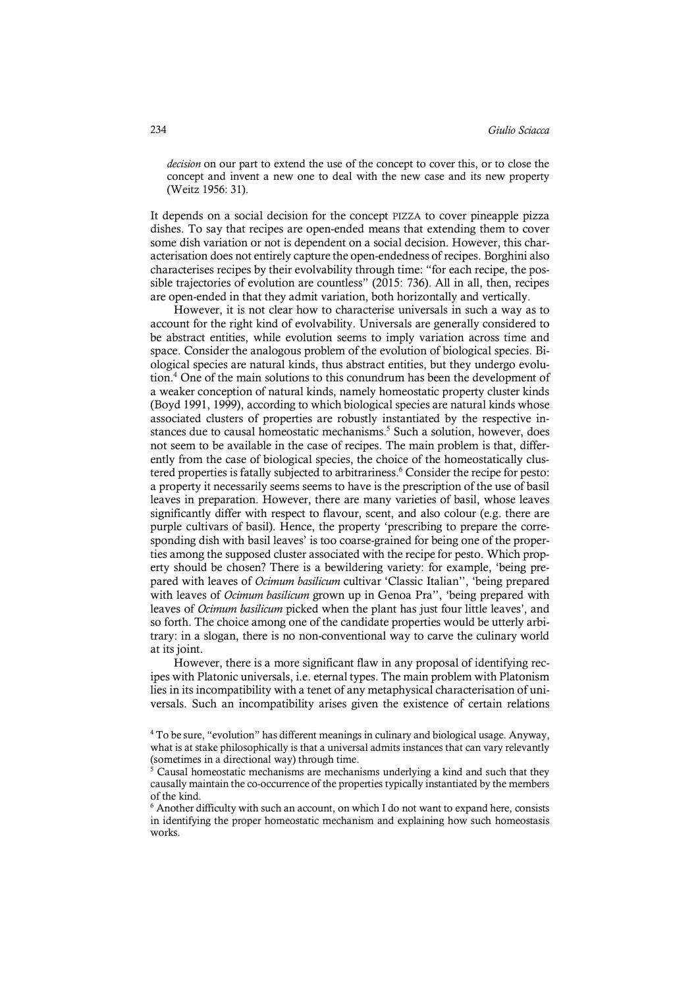*decision* on our part to extend the use of the concept to cover this, or to close the concept and invent a new one to deal with the new case and its new property (Weitz 1956: 31).

It depends on a social decision for the concept PIZZA to cover pineapple pizza dishes. To say that recipes are open-ended means that extending them to cover some dish variation or not is dependent on a social decision. However, this characterisation does not entirely capture the open-endedness of recipes. Borghini also characterises recipes by their evolvability through time: "for each recipe, the possible trajectories of evolution are countless" (2015: 736). All in all, then, recipes are open-ended in that they admit variation, both horizontally and vertically.

However, it is not clear how to characterise universals in such a way as to account for the right kind of evolvability. Universals are generally considered to be abstract entities, while evolution seems to imply variation across time and space. Consider the analogous problem of the evolution of biological species. Biological species are natural kinds, thus abstract entities, but they undergo evolution. <sup>4</sup> One of the main solutions to this conundrum has been the development of a weaker conception of natural kinds, namely homeostatic property cluster kinds (Boyd 1991, 1999), according to which biological species are natural kinds whose associated clusters of properties are robustly instantiated by the respective instances due to causal homeostatic mechanisms. <sup>5</sup> Such a solution, however, does not seem to be available in the case of recipes. The main problem is that, differently from the case of biological species, the choice of the homeostatically clustered properties is fatally subjected to arbitrariness. <sup>6</sup> Consider the recipe for pesto: a property it necessarily seems seems to have is the prescription of the use of basil leaves in preparation. However, there are many varieties of basil, whose leaves significantly differ with respect to flavour, scent, and also colour (e.g. there are purple cultivars of basil). Hence, the property 'prescribing to prepare the corresponding dish with basil leaves' is too coarse-grained for being one of the properties among the supposed cluster associated with the recipe for pesto. Which property should be chosen? There is a bewildering variety: for example, 'being prepared with leaves of *Ocimum basilicum* cultivar 'Classic Italian'', 'being prepared with leaves of *Ocimum basilicum* grown up in Genoa Pra'', 'being prepared with leaves of *Ocimum basilicum* picked when the plant has just four little leaves', and so forth. The choice among one of the candidate properties would be utterly arbitrary: in a slogan, there is no non-conventional way to carve the culinary world at its joint.

However, there is a more significant flaw in any proposal of identifying recipes with Platonic universals, i.e. eternal types. The main problem with Platonism lies in its incompatibility with a tenet of any metaphysical characterisation of universals. Such an incompatibility arises given the existence of certain relations

<sup>4</sup> To be sure, "evolution" has different meanings in culinary and biological usage. Anyway, what is at stake philosophically is that a universal admits instances that can vary relevantly (sometimes in a directional way) through time.

<sup>5</sup> Causal homeostatic mechanisms are mechanisms underlying a kind and such that they causally maintain the co-occurrence of the properties typically instantiated by the members of the kind.

 $6$  Another difficulty with such an account, on which I do not want to expand here, consists in identifying the proper homeostatic mechanism and explaining how such homeostasis works.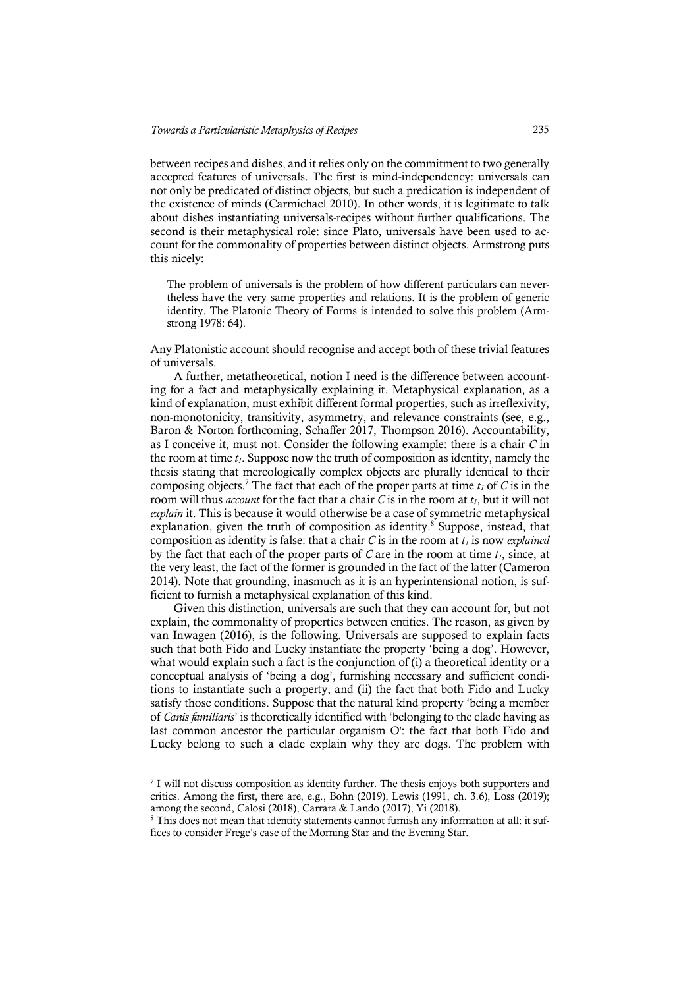between recipes and dishes, and it relies only on the commitment to two generally accepted features of universals. The first is mind-independency: universals can not only be predicated of distinct objects, but such a predication is independent of the existence of minds (Carmichael 2010). In other words, it is legitimate to talk about dishes instantiating universals-recipes without further qualifications. The second is their metaphysical role: since Plato, universals have been used to account for the commonality of properties between distinct objects. Armstrong puts this nicely:

The problem of universals is the problem of how different particulars can nevertheless have the very same properties and relations. It is the problem of generic identity. The Platonic Theory of Forms is intended to solve this problem (Armstrong 1978: 64).

Any Platonistic account should recognise and accept both of these trivial features of universals.

A further, metatheoretical, notion I need is the difference between accounting for a fact and metaphysically explaining it. Metaphysical explanation, as a kind of explanation, must exhibit different formal properties, such as irreflexivity, non-monotonicity, transitivity, asymmetry, and relevance constraints (see, e.g., Baron & Norton forthcoming, Schaffer 2017, Thompson 2016). Accountability, as I conceive it, must not. Consider the following example: there is a chair *C* in the room at time  $t_1$ . Suppose now the truth of composition as identity, namely the thesis stating that mereologically complex objects are plurally identical to their composing objects.<sup>7</sup> The fact that each of the proper parts at time  $t_1$  of C is in the room will thus *account* for the fact that a chair *C* is in the room at  $t_1$ , but it will not *explain* it. This is because it would otherwise be a case of symmetric metaphysical explanation, given the truth of composition as identity. <sup>8</sup> Suppose, instead, that composition as identity is false: that a chair  $C$  is in the room at  $t<sub>l</sub>$  is now *explained* by the fact that each of the proper parts of  $C$  are in the room at time  $t_1$ , since, at the very least, the fact of the former is grounded in the fact of the latter (Cameron 2014). Note that grounding, inasmuch as it is an hyperintensional notion, is sufficient to furnish a metaphysical explanation of this kind.

Given this distinction, universals are such that they can account for, but not explain, the commonality of properties between entities. The reason, as given by van Inwagen (2016), is the following. Universals are supposed to explain facts such that both Fido and Lucky instantiate the property 'being a dog'. However, what would explain such a fact is the conjunction of (i) a theoretical identity or a conceptual analysis of 'being a dog', furnishing necessary and sufficient conditions to instantiate such a property, and (ii) the fact that both Fido and Lucky satisfy those conditions. Suppose that the natural kind property 'being a member of *Canis familiaris*' is theoretically identified with 'belonging to the clade having as last common ancestor the particular organism O': the fact that both Fido and Lucky belong to such a clade explain why they are dogs. The problem with

 $7$  I will not discuss composition as identity further. The thesis enjoys both supporters and critics. Among the first, there are, e.g., Bohn (2019), Lewis (1991, ch. 3.6), Loss (2019); among the second, Calosi (2018), Carrara & Lando (2017), Yi (2018).

<sup>&</sup>lt;sup>8</sup> This does not mean that identity statements cannot furnish any information at all: it suffices to consider Frege's case of the Morning Star and the Evening Star.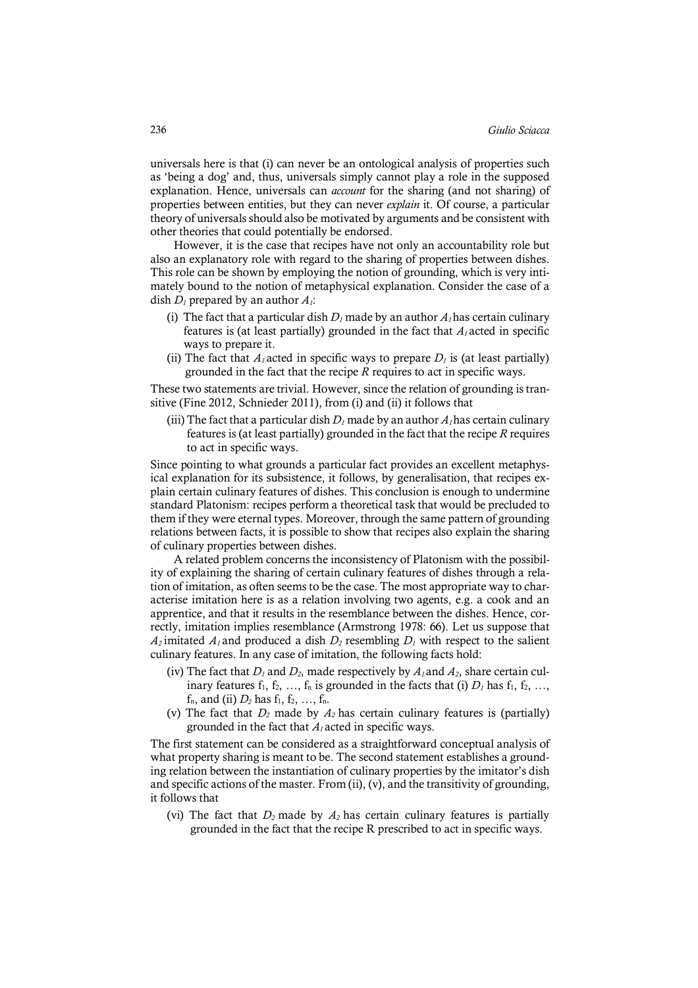universals here is that (i) can never be an ontological analysis of properties such as 'being a dog' and, thus, universals simply cannot play a role in the supposed explanation. Hence, universals can *account* for the sharing (and not sharing) of properties between entities, but they can never *explain* it. Of course, a particular theory of universals should also be motivated by arguments and be consistent with other theories that could potentially be endorsed.

However, it is the case that recipes have not only an accountability role but also an explanatory role with regard to the sharing of properties between dishes. This role can be shown by employing the notion of grounding, which is very intimately bound to the notion of metaphysical explanation. Consider the case of a dish  $D_l$  prepared by an author  $A_l$ :

- (i) The fact that a particular dish  $D_l$  made by an author  $A_l$  has certain culinary features is (at least partially) grounded in the fact that  $A<sub>l</sub>$  acted in specific ways to prepare it.
- (ii) The fact that  $A<sub>l</sub>$  acted in specific ways to prepare  $D<sub>l</sub>$  is (at least partially) grounded in the fact that the recipe *R* requires to act in specific ways.

These two statements are trivial. However, since the relation of grounding is transitive (Fine 2012, Schnieder 2011), from (i) and (ii) it follows that

(iii) The fact that a particular dish  $D_l$  made by an author  $A_l$  has certain culinary features is (at least partially) grounded in the fact that the recipe *R* requires to act in specific ways.

Since pointing to what grounds a particular fact provides an excellent metaphysical explanation for its subsistence, it follows, by generalisation, that recipes explain certain culinary features of dishes. This conclusion is enough to undermine standard Platonism: recipes perform a theoretical task that would be precluded to them if they were eternal types. Moreover, through the same pattern of grounding relations between facts, it is possible to show that recipes also explain the sharing of culinary properties between dishes.

A related problem concerns the inconsistency of Platonism with the possibility of explaining the sharing of certain culinary features of dishes through a relation of imitation, as often seems to be the case. The most appropriate way to characterise imitation here is as a relation involving two agents, e.g. a cook and an apprentice, and that it results in the resemblance between the dishes. Hence, correctly, imitation implies resemblance (Armstrong 1978: 66). Let us suppose that  $A_2$  imitated  $A_1$  and produced a dish  $D_2$  resembling  $D_1$  with respect to the salient culinary features. In any case of imitation, the following facts hold:

- (iv) The fact that  $D_1$  and  $D_2$ , made respectively by  $A_1$  and  $A_2$ , share certain culinary features  $f_1, f_2, ..., f_n$  is grounded in the facts that (i)  $D_1$  has  $f_1, f_2, ...,$  $f_n$ , and (ii)  $D_2$  has  $f_1, f_2, ..., f_n$ .
- (v) The fact that  $D_2$  made by  $A_2$  has certain culinary features is (partially) grounded in the fact that *A1* acted in specific ways.

The first statement can be considered as a straightforward conceptual analysis of what property sharing is meant to be. The second statement establishes a grounding relation between the instantiation of culinary properties by the imitator's dish and specific actions of the master. From (ii), (v), and the transitivity of grounding, it follows that

(vi) The fact that  $D_2$  made by  $A_2$  has certain culinary features is partially grounded in the fact that the recipe R prescribed to act in specific ways.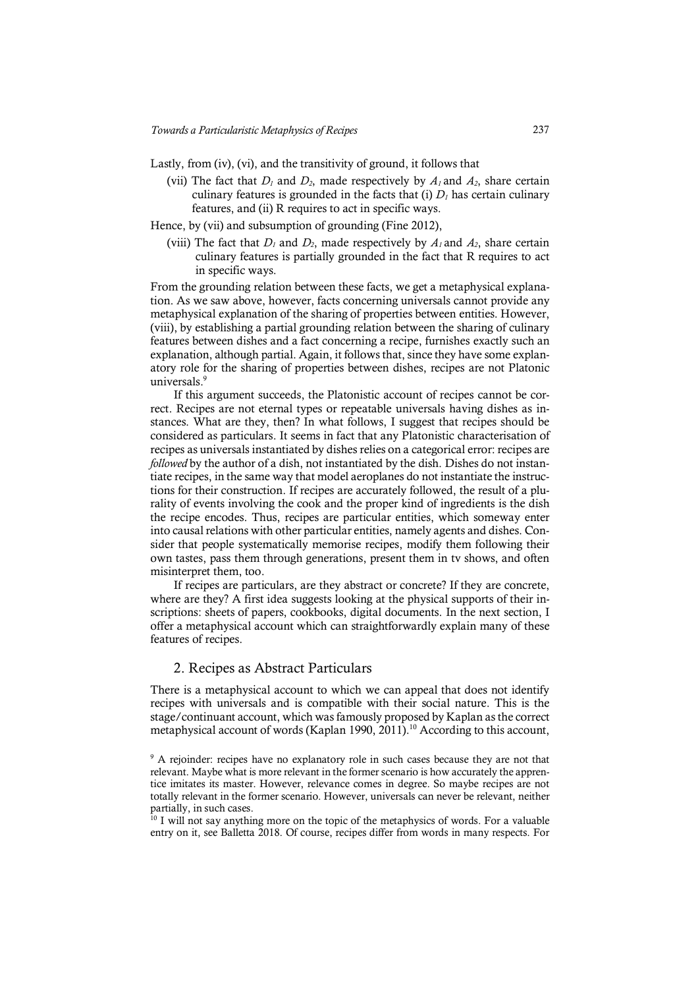Lastly, from (iv), (vi), and the transitivity of ground, it follows that

- (vii) The fact that  $D_1$  and  $D_2$ , made respectively by  $A_1$  and  $A_2$ , share certain culinary features is grounded in the facts that (i)  $D<sub>I</sub>$  has certain culinary features, and (ii) R requires to act in specific ways.
- Hence, by (vii) and subsumption of grounding (Fine 2012),
	- (viii) The fact that  $D_1$  and  $D_2$ , made respectively by  $A_1$  and  $A_2$ , share certain culinary features is partially grounded in the fact that R requires to act in specific ways.

From the grounding relation between these facts, we get a metaphysical explanation. As we saw above, however, facts concerning universals cannot provide any metaphysical explanation of the sharing of properties between entities. However, (viii), by establishing a partial grounding relation between the sharing of culinary features between dishes and a fact concerning a recipe, furnishes exactly such an explanation, although partial. Again, it follows that, since they have some explanatory role for the sharing of properties between dishes, recipes are not Platonic universals. 9

If this argument succeeds, the Platonistic account of recipes cannot be correct. Recipes are not eternal types or repeatable universals having dishes as instances. What are they, then? In what follows, I suggest that recipes should be considered as particulars. It seems in fact that any Platonistic characterisation of recipes as universals instantiated by dishes relies on a categorical error: recipes are *followed* by the author of a dish, not instantiated by the dish. Dishes do not instantiate recipes, in the same way that model aeroplanes do not instantiate the instructions for their construction. If recipes are accurately followed, the result of a plurality of events involving the cook and the proper kind of ingredients is the dish the recipe encodes. Thus, recipes are particular entities, which someway enter into causal relations with other particular entities, namely agents and dishes. Consider that people systematically memorise recipes, modify them following their own tastes, pass them through generations, present them in tv shows, and often misinterpret them, too.

If recipes are particulars, are they abstract or concrete? If they are concrete, where are they? A first idea suggests looking at the physical supports of their inscriptions: sheets of papers, cookbooks, digital documents. In the next section, I offer a metaphysical account which can straightforwardly explain many of these features of recipes.

### 2. Recipes as Abstract Particulars

There is a metaphysical account to which we can appeal that does not identify recipes with universals and is compatible with their social nature. This is the stage/continuant account, which was famously proposed by Kaplan as the correct metaphysical account of words (Kaplan 1990, 2011). <sup>10</sup> According to this account,

<sup>&</sup>lt;sup>9</sup> A rejoinder: recipes have no explanatory role in such cases because they are not that relevant. Maybe what is more relevant in the former scenario is how accurately the apprentice imitates its master. However, relevance comes in degree. So maybe recipes are not totally relevant in the former scenario. However, universals can never be relevant, neither partially, in such cases.

 $10$  I will not say anything more on the topic of the metaphysics of words. For a valuable entry on it, see Balletta 2018. Of course, recipes differ from words in many respects. For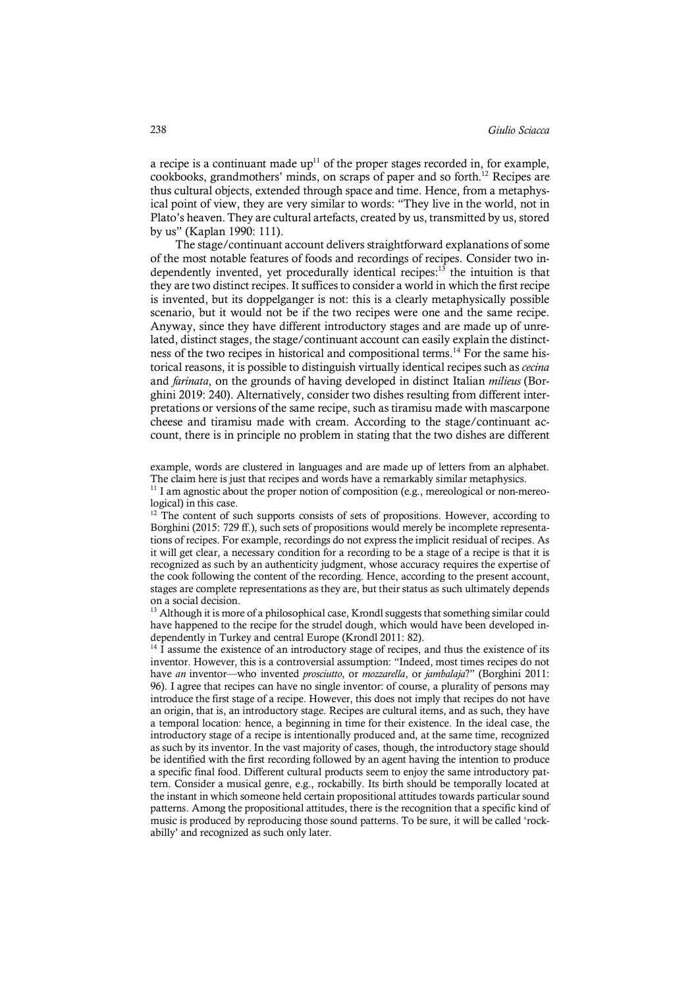a recipe is a continuant made  $up<sup>11</sup>$  of the proper stages recorded in, for example, cookbooks, grandmothers' minds, on scraps of paper and so forth. <sup>12</sup> Recipes are thus cultural objects, extended through space and time. Hence, from a metaphysical point of view, they are very similar to words: "They live in the world, not in Plato's heaven. They are cultural artefacts, created by us, transmitted by us, stored by us" (Kaplan 1990: 111).

The stage/continuant account delivers straightforward explanations of some of the most notable features of foods and recordings of recipes. Consider two independently invented, yet procedurally identical recipes: <sup>13</sup> the intuition is that they are two distinct recipes. It suffices to consider a world in which the first recipe is invented, but its doppelganger is not: this is a clearly metaphysically possible scenario, but it would not be if the two recipes were one and the same recipe. Anyway, since they have different introductory stages and are made up of unrelated, distinct stages, the stage/continuant account can easily explain the distinctness of the two recipes in historical and compositional terms. <sup>14</sup> For the same historical reasons, it is possible to distinguish virtually identical recipes such as *cecina*  and *farinata*, on the grounds of having developed in distinct Italian *milieus* (Borghini 2019: 240). Alternatively, consider two dishes resulting from different interpretations or versions of the same recipe, such as tiramisu made with mascarpone cheese and tiramisu made with cream. According to the stage/continuant account, there is in principle no problem in stating that the two dishes are different

example, words are clustered in languages and are made up of letters from an alphabet. The claim here is just that recipes and words have a remarkably similar metaphysics.

 $11$  I am agnostic about the proper notion of composition (e.g., mereological or non-mereological) in this case.<br><sup>12</sup> The content of such supports consists of sets of propositions. However, according to

Borghini (2015: 729 ff.), such sets of propositions would merely be incomplete representations of recipes. For example, recordings do not express the implicit residual of recipes. As it will get clear, a necessary condition for a recording to be a stage of a recipe is that it is recognized as such by an authenticity judgment, whose accuracy requires the expertise of the cook following the content of the recording. Hence, according to the present account, stages are complete representations as they are, but their status as such ultimately depends on a social decision.

 $13$  Although it is more of a philosophical case, Krondl suggests that something similar could have happened to the recipe for the strudel dough, which would have been developed independently in Turkey and central Europe (Krondl 2011: 82).

 $14$  I assume the existence of an introductory stage of recipes, and thus the existence of its inventor. However, this is a controversial assumption: "Indeed, most times recipes do not have *an* inventor—who invented *prosciutto*, or *mozzarella*, or *jambalaja*?" (Borghini 2011: 96). I agree that recipes can have no single inventor: of course, a plurality of persons may introduce the first stage of a recipe. However, this does not imply that recipes do not have an origin, that is, an introductory stage. Recipes are cultural items, and as such, they have a temporal location: hence, a beginning in time for their existence. In the ideal case, the introductory stage of a recipe is intentionally produced and, at the same time, recognized as such by its inventor. In the vast majority of cases, though, the introductory stage should be identified with the first recording followed by an agent having the intention to produce a specific final food. Different cultural products seem to enjoy the same introductory pattern. Consider a musical genre, e.g., rockabilly. Its birth should be temporally located at the instant in which someone held certain propositional attitudes towards particular sound patterns. Among the propositional attitudes, there is the recognition that a specific kind of music is produced by reproducing those sound patterns. To be sure, it will be called 'rockabilly' and recognized as such only later.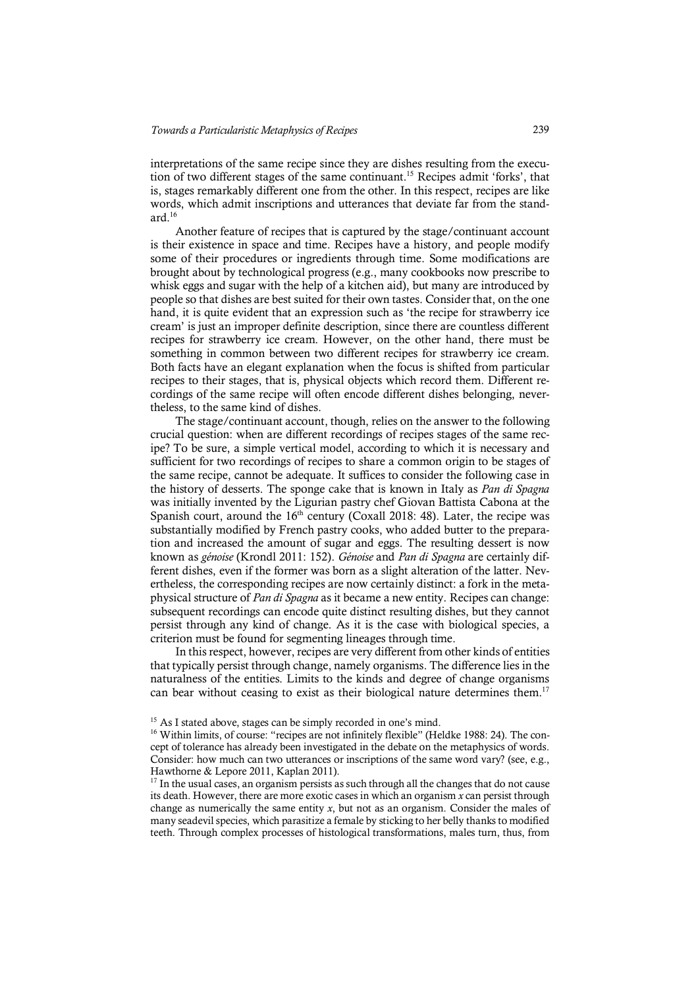interpretations of the same recipe since they are dishes resulting from the execution of two different stages of the same continuant. <sup>15</sup> Recipes admit 'forks', that is, stages remarkably different one from the other. In this respect, recipes are like words, which admit inscriptions and utterances that deviate far from the standard. 16

Another feature of recipes that is captured by the stage/continuant account is their existence in space and time. Recipes have a history, and people modify some of their procedures or ingredients through time. Some modifications are brought about by technological progress (e.g., many cookbooks now prescribe to whisk eggs and sugar with the help of a kitchen aid), but many are introduced by people so that dishes are best suited for their own tastes. Consider that, on the one hand, it is quite evident that an expression such as 'the recipe for strawberry ice cream' is just an improper definite description, since there are countless different recipes for strawberry ice cream. However, on the other hand, there must be something in common between two different recipes for strawberry ice cream. Both facts have an elegant explanation when the focus is shifted from particular recipes to their stages, that is, physical objects which record them. Different recordings of the same recipe will often encode different dishes belonging, nevertheless, to the same kind of dishes.

The stage/continuant account, though, relies on the answer to the following crucial question: when are different recordings of recipes stages of the same recipe? To be sure, a simple vertical model, according to which it is necessary and sufficient for two recordings of recipes to share a common origin to be stages of the same recipe, cannot be adequate. It suffices to consider the following case in the history of desserts. The sponge cake that is known in Italy as *Pan di Spagna* was initially invented by the Ligurian pastry chef Giovan Battista Cabona at the Spanish court, around the  $16<sup>th</sup>$  century (Coxall 2018: 48). Later, the recipe was substantially modified by French pastry cooks, who added butter to the preparation and increased the amount of sugar and eggs. The resulting dessert is now known as *génoise* (Krondl 2011: 152). *Génoise* and *Pan di Spagna* are certainly different dishes, even if the former was born as a slight alteration of the latter. Nevertheless, the corresponding recipes are now certainly distinct: a fork in the metaphysical structure of *Pan di Spagna* as it became a new entity. Recipes can change: subsequent recordings can encode quite distinct resulting dishes, but they cannot persist through any kind of change. As it is the case with biological species, a criterion must be found for segmenting lineages through time.

In this respect, however, recipes are very different from other kinds of entities that typically persist through change, namely organisms. The difference lies in the naturalness of the entities. Limits to the kinds and degree of change organisms can bear without ceasing to exist as their biological nature determines them.<sup>17</sup>

<sup>&</sup>lt;sup>15</sup> As I stated above, stages can be simply recorded in one's mind.

 $16$  Within limits, of course: "recipes are not infinitely flexible" (Heldke 1988: 24). The concept of tolerance has already been investigated in the debate on the metaphysics of words. Consider: how much can two utterances or inscriptions of the same word vary? (see, e.g., Hawthorne & Lepore 2011, Kaplan 2011).

 $17$  In the usual cases, an organism persists as such through all the changes that do not cause its death. However, there are more exotic cases in which an organism *x* can persist through change as numerically the same entity *x*, but not as an organism. Consider the males of many seadevil species, which parasitize a female by sticking to her belly thanks to modified teeth. Through complex processes of histological transformations, males turn, thus, from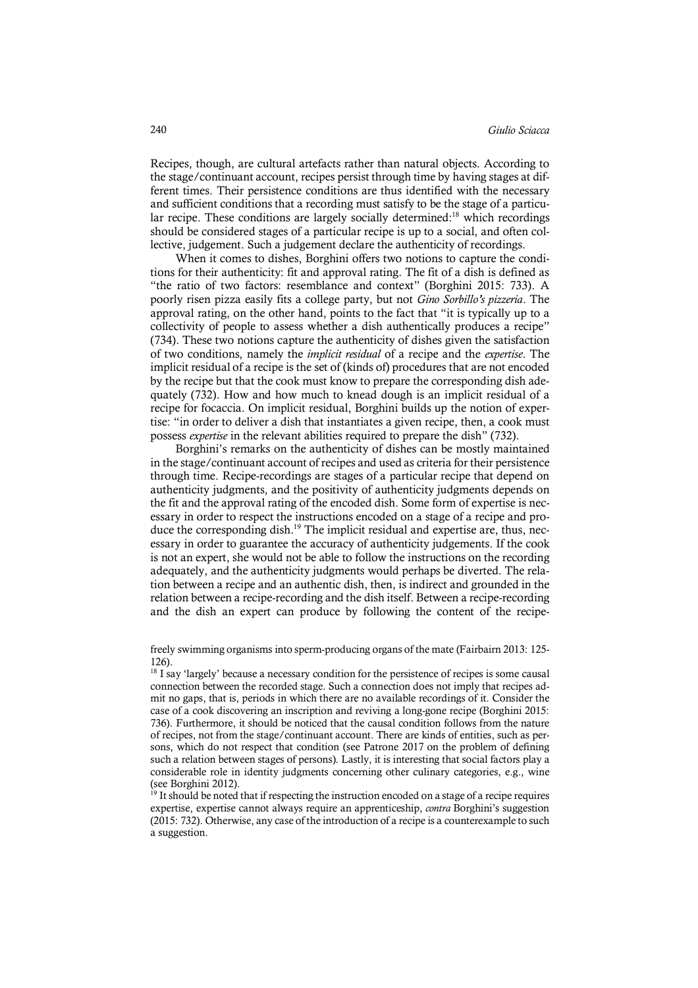Recipes, though, are cultural artefacts rather than natural objects. According to the stage/continuant account, recipes persist through time by having stages at different times. Their persistence conditions are thus identified with the necessary and sufficient conditions that a recording must satisfy to be the stage of a particular recipe. These conditions are largely socially determined:<sup>18</sup> which recordings should be considered stages of a particular recipe is up to a social, and often collective, judgement. Such a judgement declare the authenticity of recordings.

When it comes to dishes, Borghini offers two notions to capture the conditions for their authenticity: fit and approval rating. The fit of a dish is defined as "the ratio of two factors: resemblance and context" (Borghini 2015: 733). A poorly risen pizza easily fits a college party, but not *Gino Sorbillo's pizzeria*. The approval rating, on the other hand, points to the fact that "it is typically up to a collectivity of people to assess whether a dish authentically produces a recipe" (734). These two notions capture the authenticity of dishes given the satisfaction of two conditions, namely the *implicit residual* of a recipe and the *expertise*. The implicit residual of a recipe is the set of (kinds of) procedures that are not encoded by the recipe but that the cook must know to prepare the corresponding dish adequately (732). How and how much to knead dough is an implicit residual of a recipe for focaccia. On implicit residual, Borghini builds up the notion of expertise: "in order to deliver a dish that instantiates a given recipe, then, a cook must possess *expertise* in the relevant abilities required to prepare the dish" (732).

Borghini's remarks on the authenticity of dishes can be mostly maintained in the stage/continuant account of recipes and used as criteria for their persistence through time. Recipe-recordings are stages of a particular recipe that depend on authenticity judgments, and the positivity of authenticity judgments depends on the fit and the approval rating of the encoded dish. Some form of expertise is necessary in order to respect the instructions encoded on a stage of a recipe and produce the corresponding dish.<sup>19</sup> The implicit residual and expertise are, thus, necessary in order to guarantee the accuracy of authenticity judgements. If the cook is not an expert, she would not be able to follow the instructions on the recording adequately, and the authenticity judgments would perhaps be diverted. The relation between a recipe and an authentic dish, then, is indirect and grounded in the relation between a recipe-recording and the dish itself. Between a recipe-recording and the dish an expert can produce by following the content of the recipe-

freely swimming organisms into sperm-producing organs of the mate (Fairbairn 2013: 125- 126).

<sup>18</sup> I say 'largely' because a necessary condition for the persistence of recipes is some causal connection between the recorded stage. Such a connection does not imply that recipes admit no gaps, that is, periods in which there are no available recordings of it. Consider the case of a cook discovering an inscription and reviving a long-gone recipe (Borghini 2015: 736). Furthermore, it should be noticed that the causal condition follows from the nature of recipes, not from the stage/continuant account. There are kinds of entities, such as persons, which do not respect that condition (see Patrone 2017 on the problem of defining such a relation between stages of persons). Lastly, it is interesting that social factors play a considerable role in identity judgments concerning other culinary categories, e.g., wine (see Borghini 2012).

<sup>19</sup> It should be noted that if respecting the instruction encoded on a stage of a recipe requires expertise, expertise cannot always require an apprenticeship, *contra* Borghini's suggestion (2015: 732). Otherwise, any case of the introduction of a recipe is a counterexample to such a suggestion.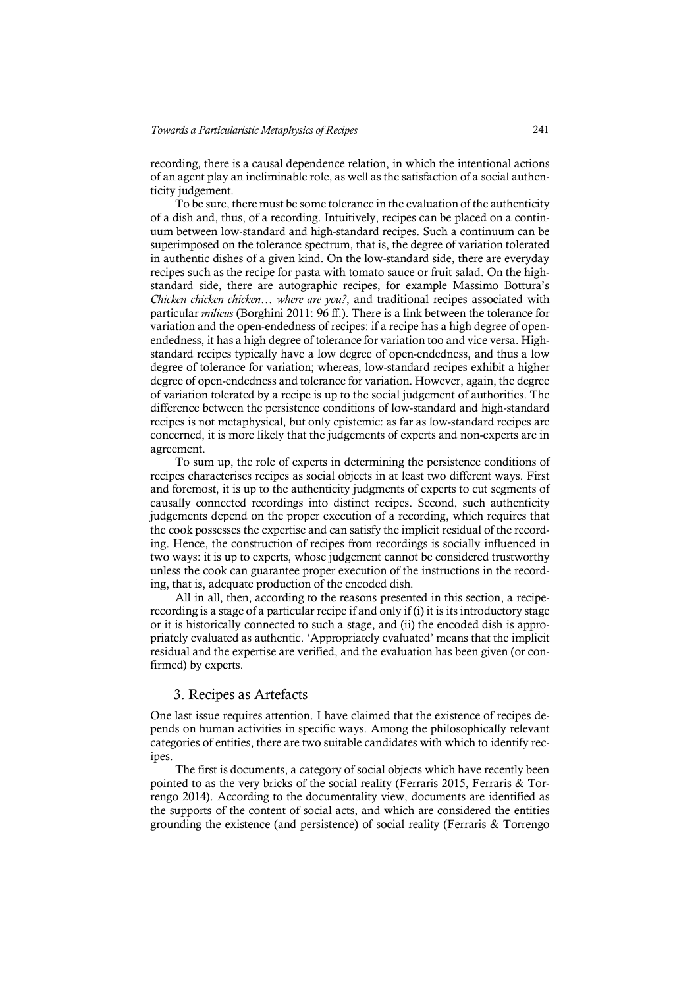recording, there is a causal dependence relation, in which the intentional actions of an agent play an ineliminable role, as well as the satisfaction of a social authenticity judgement.

To be sure, there must be some tolerance in the evaluation of the authenticity of a dish and, thus, of a recording. Intuitively, recipes can be placed on a continuum between low-standard and high-standard recipes. Such a continuum can be superimposed on the tolerance spectrum, that is, the degree of variation tolerated in authentic dishes of a given kind. On the low-standard side, there are everyday recipes such as the recipe for pasta with tomato sauce or fruit salad. On the highstandard side, there are autographic recipes, for example Massimo Bottura's *Chicken chicken chicken… where are you?*, and traditional recipes associated with particular *milieus* (Borghini 2011: 96 ff.). There is a link between the tolerance for variation and the open-endedness of recipes: if a recipe has a high degree of openendedness, it has a high degree of tolerance for variation too and vice versa. Highstandard recipes typically have a low degree of open-endedness, and thus a low degree of tolerance for variation; whereas, low-standard recipes exhibit a higher degree of open-endedness and tolerance for variation. However, again, the degree of variation tolerated by a recipe is up to the social judgement of authorities. The difference between the persistence conditions of low-standard and high-standard recipes is not metaphysical, but only epistemic: as far as low-standard recipes are concerned, it is more likely that the judgements of experts and non-experts are in agreement.

To sum up, the role of experts in determining the persistence conditions of recipes characterises recipes as social objects in at least two different ways. First and foremost, it is up to the authenticity judgments of experts to cut segments of causally connected recordings into distinct recipes. Second, such authenticity judgements depend on the proper execution of a recording, which requires that the cook possesses the expertise and can satisfy the implicit residual of the recording. Hence, the construction of recipes from recordings is socially influenced in two ways: it is up to experts, whose judgement cannot be considered trustworthy unless the cook can guarantee proper execution of the instructions in the recording, that is, adequate production of the encoded dish.

All in all, then, according to the reasons presented in this section, a reciperecording is a stage of a particular recipe if and only if (i) it is itsintroductory stage or it is historically connected to such a stage, and (ii) the encoded dish is appropriately evaluated as authentic. 'Appropriately evaluated' means that the implicit residual and the expertise are verified, and the evaluation has been given (or confirmed) by experts.

# 3. Recipes as Artefacts

One last issue requires attention. I have claimed that the existence of recipes depends on human activities in specific ways. Among the philosophically relevant categories of entities, there are two suitable candidates with which to identify recipes.

The first is documents, a category of social objects which have recently been pointed to as the very bricks of the social reality (Ferraris 2015, Ferraris & Torrengo 2014). According to the documentality view, documents are identified as the supports of the content of social acts, and which are considered the entities grounding the existence (and persistence) of social reality (Ferraris & Torrengo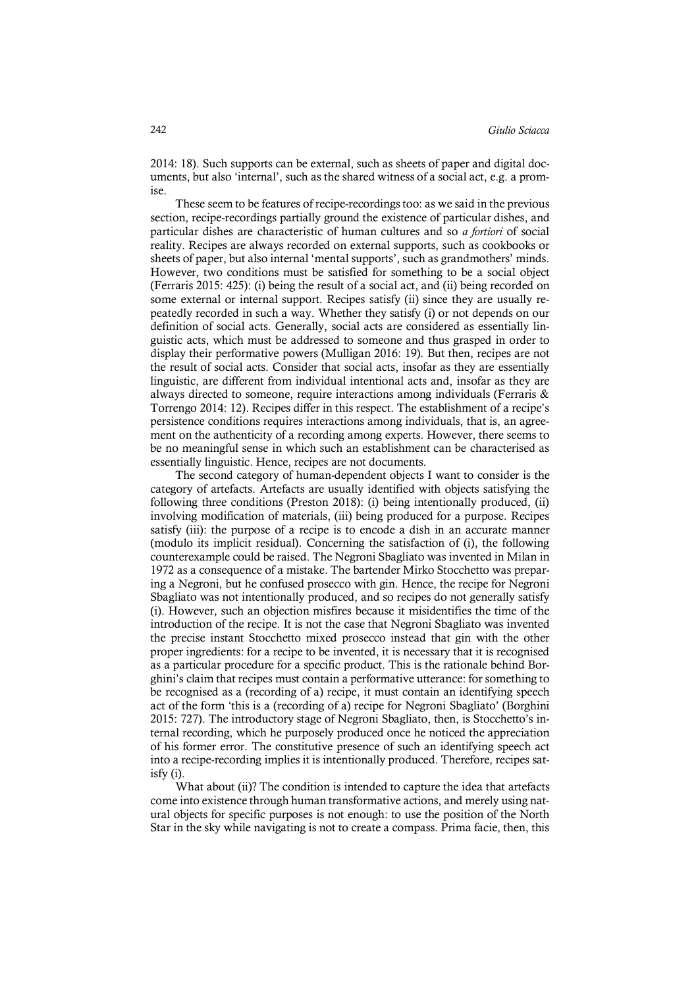2014: 18). Such supports can be external, such as sheets of paper and digital documents, but also 'internal', such as the shared witness of a social act, e.g. a promise.

These seem to be features of recipe-recordings too: as we said in the previous section, recipe-recordings partially ground the existence of particular dishes, and particular dishes are characteristic of human cultures and so *a fortiori* of social reality. Recipes are always recorded on external supports, such as cookbooks or sheets of paper, but also internal 'mental supports', such as grandmothers' minds. However, two conditions must be satisfied for something to be a social object (Ferraris 2015: 425): (i) being the result of a social act, and (ii) being recorded on some external or internal support. Recipes satisfy (ii) since they are usually repeatedly recorded in such a way. Whether they satisfy (i) or not depends on our definition of social acts. Generally, social acts are considered as essentially linguistic acts, which must be addressed to someone and thus grasped in order to display their performative powers (Mulligan 2016: 19). But then, recipes are not the result of social acts. Consider that social acts, insofar as they are essentially linguistic, are different from individual intentional acts and, insofar as they are always directed to someone, require interactions among individuals (Ferraris & Torrengo 2014: 12). Recipes differ in this respect. The establishment of a recipe's persistence conditions requires interactions among individuals, that is, an agreement on the authenticity of a recording among experts. However, there seems to be no meaningful sense in which such an establishment can be characterised as essentially linguistic. Hence, recipes are not documents.

The second category of human-dependent objects I want to consider is the category of artefacts. Artefacts are usually identified with objects satisfying the following three conditions (Preston 2018): (i) being intentionally produced, (ii) involving modification of materials, (iii) being produced for a purpose. Recipes satisfy (iii): the purpose of a recipe is to encode a dish in an accurate manner (modulo its implicit residual). Concerning the satisfaction of (i), the following counterexample could be raised. The Negroni Sbagliato was invented in Milan in 1972 as a consequence of a mistake. The bartender Mirko Stocchetto was preparing a Negroni, but he confused prosecco with gin. Hence, the recipe for Negroni Sbagliato was not intentionally produced, and so recipes do not generally satisfy (i). However, such an objection misfires because it misidentifies the time of the introduction of the recipe. It is not the case that Negroni Sbagliato was invented the precise instant Stocchetto mixed prosecco instead that gin with the other proper ingredients: for a recipe to be invented, it is necessary that it is recognised as a particular procedure for a specific product. This is the rationale behind Borghini's claim that recipes must contain a performative utterance: for something to be recognised as a (recording of a) recipe, it must contain an identifying speech act of the form 'this is a (recording of a) recipe for Negroni Sbagliato' (Borghini 2015: 727). The introductory stage of Negroni Sbagliato, then, is Stocchetto's internal recording, which he purposely produced once he noticed the appreciation of his former error. The constitutive presence of such an identifying speech act into a recipe-recording implies it is intentionally produced. Therefore, recipes satisfy (i).

What about (ii)? The condition is intended to capture the idea that artefacts come into existence through human transformative actions, and merely using natural objects for specific purposes is not enough: to use the position of the North Star in the sky while navigating is not to create a compass. Prima facie, then, this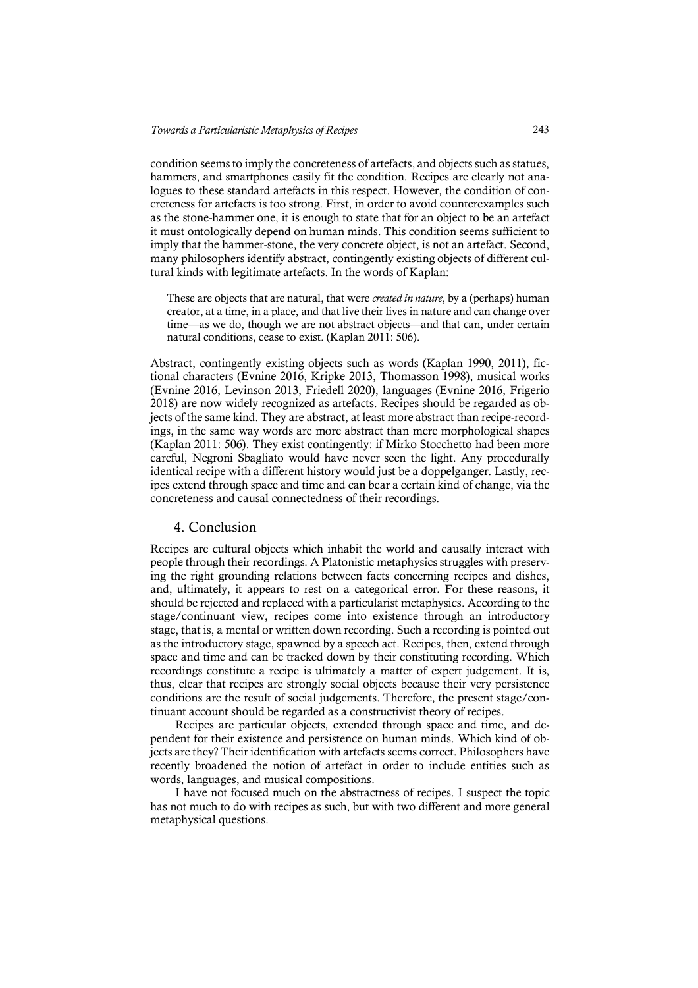condition seemsto imply the concreteness of artefacts, and objects such as statues, hammers, and smartphones easily fit the condition. Recipes are clearly not analogues to these standard artefacts in this respect. However, the condition of concreteness for artefacts is too strong. First, in order to avoid counterexamples such as the stone-hammer one, it is enough to state that for an object to be an artefact it must ontologically depend on human minds. This condition seems sufficient to imply that the hammer-stone, the very concrete object, is not an artefact. Second, many philosophers identify abstract, contingently existing objects of different cultural kinds with legitimate artefacts. In the words of Kaplan:

These are objects that are natural, that were *created in nature*, by a (perhaps) human creator, at a time, in a place, and that live their lives in nature and can change over time—as we do, though we are not abstract objects—and that can, under certain natural conditions, cease to exist. (Kaplan 2011: 506).

Abstract, contingently existing objects such as words (Kaplan 1990, 2011), fictional characters (Evnine 2016, Kripke 2013, Thomasson 1998), musical works (Evnine 2016, Levinson 2013, Friedell 2020), languages (Evnine 2016, Frigerio 2018) are now widely recognized as artefacts. Recipes should be regarded as objects of the same kind. They are abstract, at least more abstract than recipe-recordings, in the same way words are more abstract than mere morphological shapes (Kaplan 2011: 506). They exist contingently: if Mirko Stocchetto had been more careful, Negroni Sbagliato would have never seen the light. Any procedurally identical recipe with a different history would just be a doppelganger. Lastly, recipes extend through space and time and can bear a certain kind of change, via the concreteness and causal connectedness of their recordings.

# 4. Conclusion

Recipes are cultural objects which inhabit the world and causally interact with people through their recordings. A Platonistic metaphysics struggles with preserving the right grounding relations between facts concerning recipes and dishes, and, ultimately, it appears to rest on a categorical error. For these reasons, it should be rejected and replaced with a particularist metaphysics. According to the stage/continuant view, recipes come into existence through an introductory stage, that is, a mental or written down recording. Such a recording is pointed out as the introductory stage, spawned by a speech act. Recipes, then, extend through space and time and can be tracked down by their constituting recording. Which recordings constitute a recipe is ultimately a matter of expert judgement. It is, thus, clear that recipes are strongly social objects because their very persistence conditions are the result of social judgements. Therefore, the present stage/continuant account should be regarded as a constructivist theory of recipes.

Recipes are particular objects, extended through space and time, and dependent for their existence and persistence on human minds. Which kind of objects are they? Their identification with artefacts seems correct. Philosophers have recently broadened the notion of artefact in order to include entities such as words, languages, and musical compositions.

I have not focused much on the abstractness of recipes. I suspect the topic has not much to do with recipes as such, but with two different and more general metaphysical questions.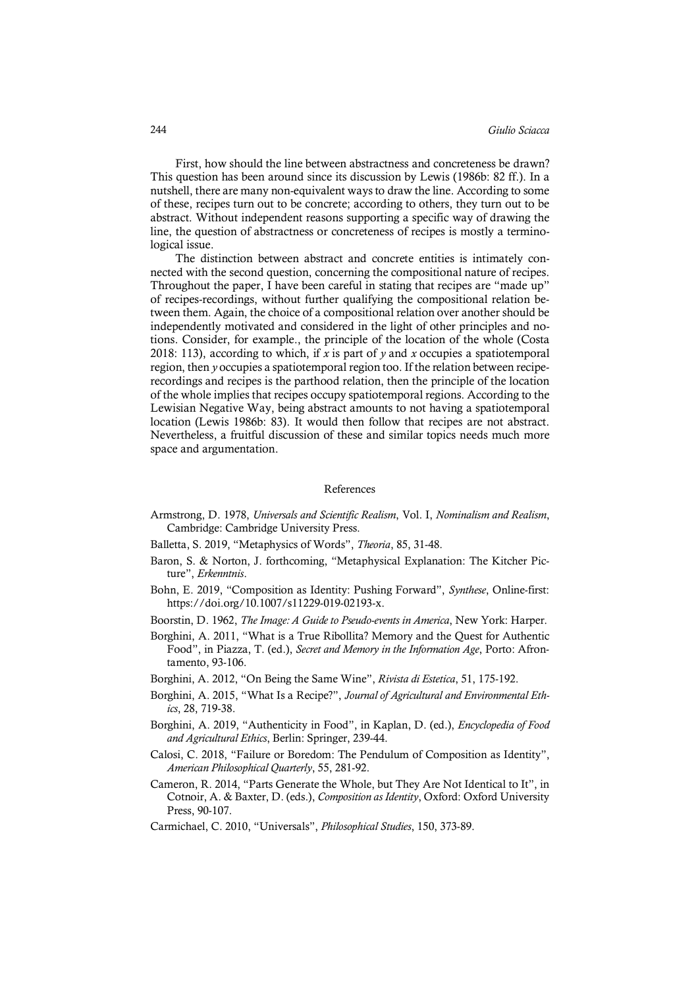First, how should the line between abstractness and concreteness be drawn? This question has been around since its discussion by Lewis (1986b: 82 ff.). In a nutshell, there are many non-equivalent ways to draw the line. According to some of these, recipes turn out to be concrete; according to others, they turn out to be abstract. Without independent reasons supporting a specific way of drawing the line, the question of abstractness or concreteness of recipes is mostly a terminological issue.

The distinction between abstract and concrete entities is intimately connected with the second question, concerning the compositional nature of recipes. Throughout the paper, I have been careful in stating that recipes are "made up" of recipes-recordings, without further qualifying the compositional relation between them. Again, the choice of a compositional relation over another should be independently motivated and considered in the light of other principles and notions. Consider, for example., the principle of the location of the whole (Costa 2018: 113), according to which, if *x* is part of *y* and *x* occupies a spatiotemporal region, then *y* occupies a spatiotemporal region too. If the relation between reciperecordings and recipes is the parthood relation, then the principle of the location of the whole implies that recipes occupy spatiotemporal regions. According to the Lewisian Negative Way, being abstract amounts to not having a spatiotemporal location (Lewis 1986b: 83). It would then follow that recipes are not abstract. Nevertheless, a fruitful discussion of these and similar topics needs much more space and argumentation.

#### References

- Armstrong, D. 1978, *Universals and Scientific Realism*, Vol. I, *Nominalism and Realism*, Cambridge: Cambridge University Press.
- Balletta, S. 2019, "Metaphysics of Words", *Theoria*, 85, 31-48.
- Baron, S. & Norton, J. forthcoming, "Metaphysical Explanation: The Kitcher Picture", *Erkenntnis*.
- Bohn, E. 2019, "Composition as Identity: Pushing Forward", *Synthese*, Online-first: https://doi.org/10.1007/s11229-019-02193-x.
- Boorstin, D. 1962, *The Image: A Guide to Pseudo-events in America*, New York: Harper.
- Borghini, A. 2011, "What is a True Ribollita? Memory and the Quest for Authentic Food", in Piazza, T. (ed.), *Secret and Memory in the Information Age*, Porto: Afrontamento, 93-106.
- Borghini, A. 2012, "On Being the Same Wine", *Rivista di Estetica*, 51, 175-192.
- Borghini, A. 2015, "What Is a Recipe?", *Journal of Agricultural and Environmental Ethics*, 28, 719-38.
- Borghini, A. 2019, "Authenticity in Food", in Kaplan, D. (ed.), *Encyclopedia of Food and Agricultural Ethics*, Berlin: Springer, 239-44.
- Calosi, C. 2018, "Failure or Boredom: The Pendulum of Composition as Identity", *American Philosophical Quarterly*, 55, 281-92.
- Cameron, R. 2014, "Parts Generate the Whole, but They Are Not Identical to It", in Cotnoir, A. & Baxter, D. (eds.), *Composition as Identity*, Oxford: Oxford University Press, 90-107.
- Carmichael, C. 2010, "Universals", *Philosophical Studies*, 150, 373-89.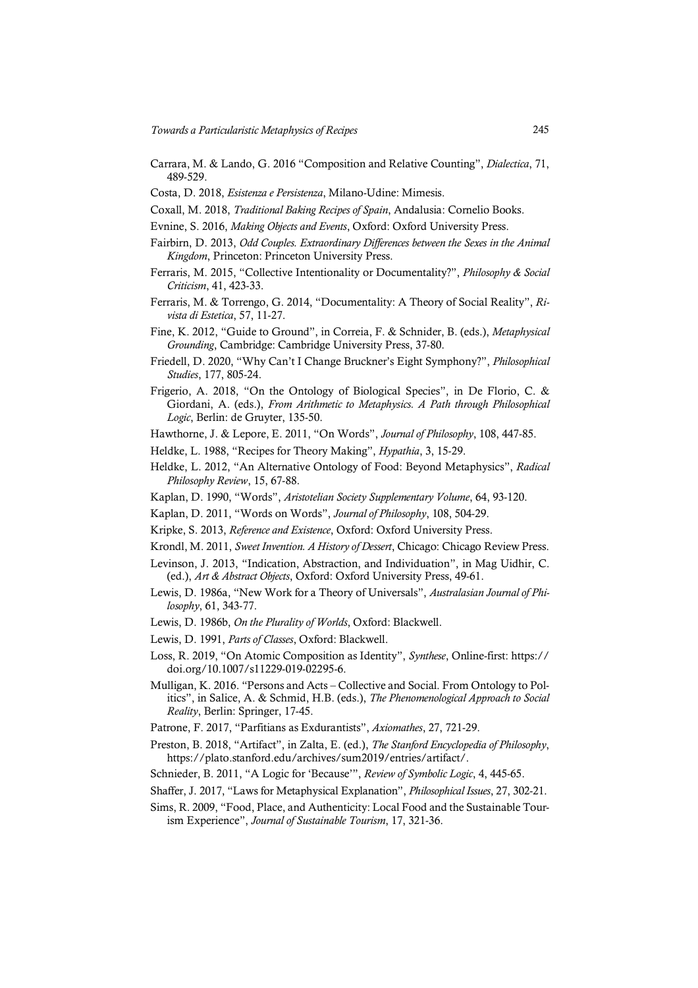- Carrara, M. & Lando, G. 2016 "Composition and Relative Counting", *Dialectica*, 71, 489-529.
- Costa, D. 2018, *Esistenza e Persistenza*, Milano-Udine: Mimesis.
- Coxall, M. 2018, *Traditional Baking Recipes of Spain*, Andalusia: Cornelio Books.
- Evnine, S. 2016, *Making Objects and Events*, Oxford: Oxford University Press.
- Fairbirn, D. 2013, *Odd Couples. Extraordinary Differences between the Sexes in the Animal Kingdom*, Princeton: Princeton University Press.
- Ferraris, M. 2015, "Collective Intentionality or Documentality?", *Philosophy & Social Criticism*, 41, 423-33.
- Ferraris, M. & Torrengo, G. 2014, "Documentality: A Theory of Social Reality", *Rivista di Estetica*, 57, 11-27.
- Fine, K. 2012, "Guide to Ground", in Correia, F. & Schnider, B. (eds.), *Metaphysical Grounding*, Cambridge: Cambridge University Press, 37-80.
- Friedell, D. 2020, "Why Can't I Change Bruckner's Eight Symphony?", *Philosophical Studies*, 177, 805-24.
- Frigerio, A. 2018, "On the Ontology of Biological Species", in De Florio, C. & Giordani, A. (eds.), *From Arithmetic to Metaphysics. A Path through Philosophical Logic*, Berlin: de Gruyter, 135-50.
- Hawthorne, J. & Lepore, E. 2011, "On Words", *Journal of Philosophy*, 108, 447-85.
- Heldke, L. 1988, "Recipes for Theory Making", *Hypathia*, 3, 15-29.
- Heldke, L. 2012, "An Alternative Ontology of Food: Beyond Metaphysics", *Radical Philosophy Review*, 15, 67-88.
- Kaplan, D. 1990, "Words", *Aristotelian Society Supplementary Volume*, 64, 93-120.
- Kaplan, D. 2011, "Words on Words", *Journal of Philosophy*, 108, 504-29.
- Kripke, S. 2013, *Reference and Existence*, Oxford: Oxford University Press.
- Krondl, M. 2011, *Sweet Invention. A History of Dessert*, Chicago: Chicago Review Press.
- Levinson, J. 2013, "Indication, Abstraction, and Individuation", in Mag Uidhir, C. (ed.), *Art & Abstract Objects*, Oxford: Oxford University Press, 49-61.
- Lewis, D. 1986a, "New Work for a Theory of Universals", *Australasian Journal of Philosophy*, 61, 343-77.
- Lewis, D. 1986b, *On the Plurality of Worlds*, Oxford: Blackwell.
- Lewis, D. 1991, *Parts of Classes*, Oxford: Blackwell.
- Loss, R. 2019, "On Atomic Composition as Identity", *Synthese*, Online-first: https:// doi.org/10.1007/s11229-019-02295-6.
- Mulligan, K. 2016. "Persons and Acts Collective and Social. From Ontology to Politics", in Salice, A. & Schmid, H.B. (eds.), *The Phenomenological Approach to Social Reality*, Berlin: Springer, 17-45.
- Patrone, F. 2017, "Parfitians as Exdurantists", *Axiomathes*, 27, 721-29.
- Preston, B. 2018, "Artifact", in Zalta, E. (ed.), *The Stanford Encyclopedia of Philosophy*, https://plato.stanford.edu/archives/sum2019/entries/artifact/.
- Schnieder, B. 2011, "A Logic for 'Because'", *Review of Symbolic Logic*, 4, 445-65.
- Shaffer, J. 2017, "Laws for Metaphysical Explanation", *Philosophical Issues*, 27, 302-21.
- Sims, R. 2009, "Food, Place, and Authenticity: Local Food and the Sustainable Tourism Experience", *Journal of Sustainable Tourism*, 17, 321-36.